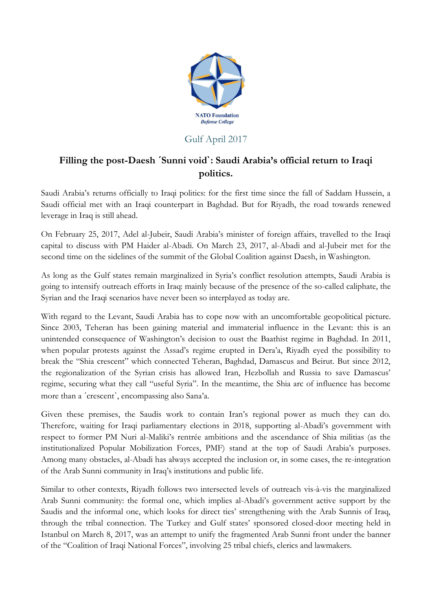

## Gulf April 2017

## **Filling the post-Daesh ˊSunni voidˋ: Saudi Arabia's official return to Iraqi politics.**

Saudi Arabia's returns officially to Iraqi politics: for the first time since the fall of Saddam Hussein, a Saudi official met with an Iraqi counterpart in Baghdad. But for Riyadh, the road towards renewed leverage in Iraq is still ahead.

On February 25, 2017, Adel al-Jubeir, Saudi Arabia's minister of foreign affairs, travelled to the Iraqi capital to discuss with PM Haider al-Abadi. On March 23, 2017, al-Abadi and al-Jubeir met for the second time on the sidelines of the summit of the Global Coalition against Daesh, in Washington.

As long as the Gulf states remain marginalized in Syria's conflict resolution attempts, Saudi Arabia is going to intensify outreach efforts in Iraq: mainly because of the presence of the so-called caliphate, the Syrian and the Iraqi scenarios have never been so interplayed as today are.

With regard to the Levant, Saudi Arabia has to cope now with an uncomfortable geopolitical picture. Since 2003, Teheran has been gaining material and immaterial influence in the Levant: this is an unintended consequence of Washington's decision to oust the Baathist regime in Baghdad. In 2011, when popular protests against the Assad's regime erupted in Dera'a, Riyadh eyed the possibility to break the "Shia crescent" which connected Teheran, Baghdad, Damascus and Beirut. But since 2012, the regionalization of the Syrian crisis has allowed Iran, Hezbollah and Russia to save Damascus' regime, securing what they call "useful Syria". In the meantime, the Shia arc of influence has become more than a ˊcrescentˋ, encompassing also Sana'a.

Given these premises, the Saudis work to contain Iran's regional power as much they can do. Therefore, waiting for Iraqi parliamentary elections in 2018, supporting al-Abadi's government with respect to former PM Nuri al-Maliki's rentrée ambitions and the ascendance of Shia militias (as the institutionalized Popular Mobilization Forces, PMF) stand at the top of Saudi Arabia's purposes. Among many obstacles, al-Abadi has always accepted the inclusion or, in some cases, the re-integration of the Arab Sunni community in Iraq's institutions and public life.

Similar to other contexts, Riyadh follows two intersected levels of outreach vis-à-vis the marginalized Arab Sunni community: the formal one, which implies al-Abadi's government active support by the Saudis and the informal one, which looks for direct ties' strengthening with the Arab Sunnis of Iraq, through the tribal connection. The Turkey and Gulf states' sponsored closed-door meeting held in Istanbul on March 8, 2017, was an attempt to unify the fragmented Arab Sunni front under the banner of the "Coalition of Iraqi National Forces", involving 25 tribal chiefs, clerics and lawmakers.